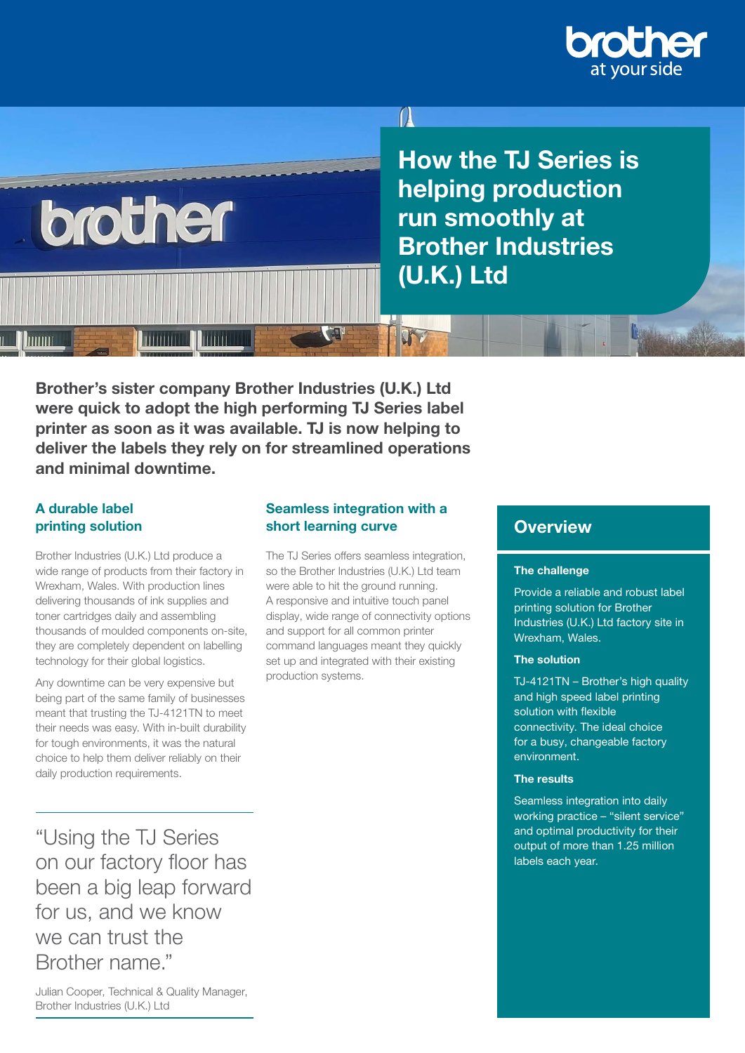

Le de mais

How the TJ Series is helping production run smoothly at Brother Industries (U.K.) Ltd

Brother's sister company Brother Industries (U.K.) Ltd were quick to adopt the high performing TJ Series label printer as soon as it was available. TJ is now helping to deliver the labels they rely on for streamlined operations and minimal downtime.

## A durable label printing solution

hum

Brother Industries (U.K.) Ltd produce a wide range of products from their factory in Wrexham, Wales. With production lines delivering thousands of ink supplies and toner cartridges daily and assembling thousands of moulded components on-site, they are completely dependent on labelling technology for their global logistics.

brother

**MITTLE** 

Any downtime can be very expensive but being part of the same family of businesses meant that trusting the TJ-4121TN to meet their needs was easy. With in-built durability for tough environments, it was the natural choice to help them deliver reliably on their daily production requirements.

"Using the TJ Series on our factory floor has been a big leap forward for us, and we know we can trust the Brother name."

#### Seamless integration with a short learning curve

 $\left| \right|$ 

The TJ Series offers seamless integration, so the Brother Industries (U.K.) Ltd team were able to hit the ground running. A responsive and intuitive touch panel display, wide range of connectivity options and support for all common printer command languages meant they quickly set up and integrated with their existing production systems.

## **Overview**

#### The challenge

Provide a reliable and robust label printing solution for Brother Industries (U.K.) Ltd factory site in Wrexham, Wales.

#### The solution

TJ-4121TN – Brother's high quality and high speed label printing solution with flexible connectivity. The ideal choice for a busy, changeable factory environment.

#### The results

Seamless integration into daily working practice – "silent service" and optimal productivity for their output of more than 1.25 million labels each year.

Julian Cooper, Technical & Quality Manager, Brother Industries (U.K.) Ltd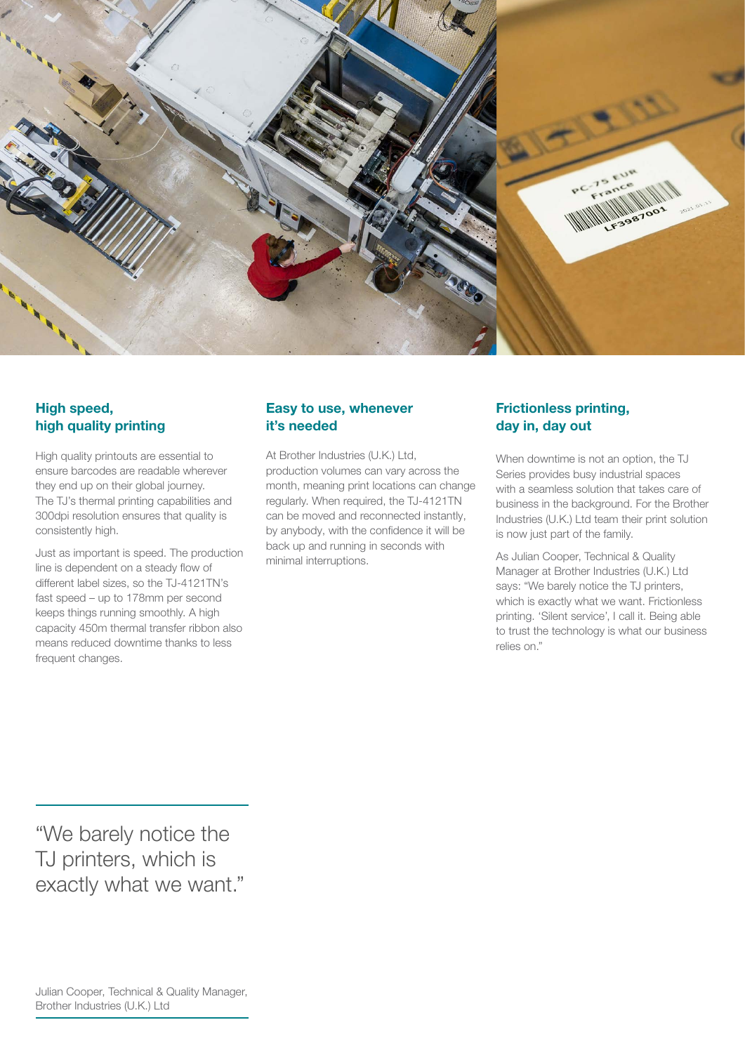

### High speed, high quality printing

High quality printouts are essential to ensure barcodes are readable wherever they end up on their global journey. The TJ's thermal printing capabilities and 300dpi resolution ensures that quality is consistently high.

Just as important is speed. The production line is dependent on a steady flow of different label sizes, so the TJ-4121TN's fast speed – up to 178mm per second keeps things running smoothly. A high capacity 450m thermal transfer ribbon also means reduced downtime thanks to less frequent changes.

### Easy to use, whenever it's needed

At Brother Industries (U.K.) Ltd, production volumes can vary across the month, meaning print locations can change regularly. When required, the TJ-4121TN can be moved and reconnected instantly, by anybody, with the confidence it will be back up and running in seconds with minimal interruptions.

### Frictionless printing, day in, day out

When downtime is not an option, the TJ Series provides busy industrial spaces with a seamless solution that takes care of business in the background. For the Brother Industries (U.K.) Ltd team their print solution is now just part of the family.

As Julian Cooper, Technical & Quality Manager at Brother Industries (U.K.) Ltd says: "We barely notice the TJ printers, which is exactly what we want. Frictionless printing. 'Silent service', I call it. Being able to trust the technology is what our business relies on."

"We barely notice the TJ printers, which is exactly what we want."